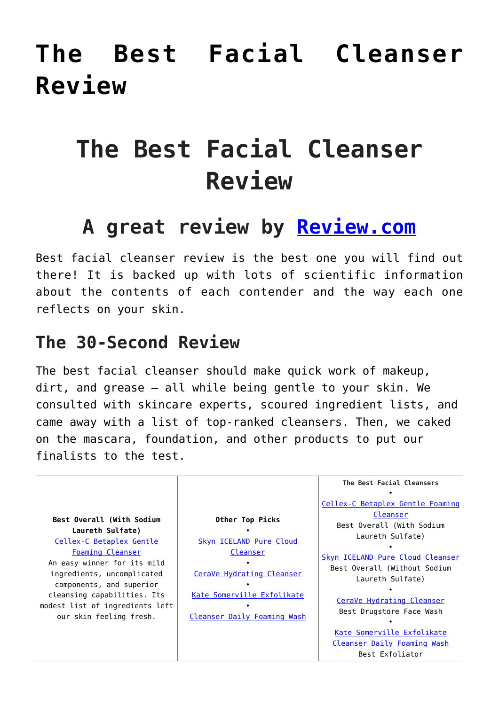# **[The Best Facial Cleanser](https://www.hairnmakeup.info/best-facial-cleanser/) [Review](https://www.hairnmakeup.info/best-facial-cleanser/)**

# **The Best Facial Cleanser Review**

## **A great review by [Review.com](http://www.reviews.com/)**

Best facial cleanser review is the best one you will find out there! It is backed up with lots of scientific information about the contents of each contender and the way each one reflects on your skin.

#### **The 30-Second Review**

The best facial cleanser should make quick work of makeup, dirt, and grease — all while being gentle to your skin. We consulted with skincare experts, scoured ingredient lists, and came away with a list of top-ranked cleansers. Then, we caked on the mascara, foundation, and other products to put our finalists to the test.

|                                 |                             | The Best Facial Cleansers        |
|---------------------------------|-----------------------------|----------------------------------|
|                                 |                             |                                  |
|                                 |                             |                                  |
|                                 |                             | Cellex-C Betaplex Gentle Foaming |
| Best Overall (With Sodium       |                             | Cleanser                         |
|                                 | Other Top Picks             | Best Overall (With Sodium        |
| Laureth Sulfate)                |                             | Laureth Sulfate)                 |
| Cellex-C Betaplex Gentle        | Skyn ICELAND Pure Cloud     |                                  |
| <b>Foaming Cleanser</b>         | Cleanser                    | Skyn ICELAND Pure Cloud Cleanser |
| An easy winner for its mild     |                             | Best Overall (Without Sodium     |
| ingredients, uncomplicated      | CeraVe Hydrating Cleanser   | Laureth Sulfate)                 |
| components, and superior        |                             |                                  |
| cleansing capabilities. Its     | Kate Somerville Exfolikate  | CeraVe Hydrating Cleanser        |
| modest list of ingredients left |                             | Best Drugstore Face Wash         |
| our skin feeling fresh.         | Cleanser Daily Foaming Wash |                                  |
|                                 |                             |                                  |
|                                 |                             | Kate Somerville Exfolikate       |
|                                 |                             | Cleanser Daily Foaming Wash      |
|                                 |                             | Best Exfoliator                  |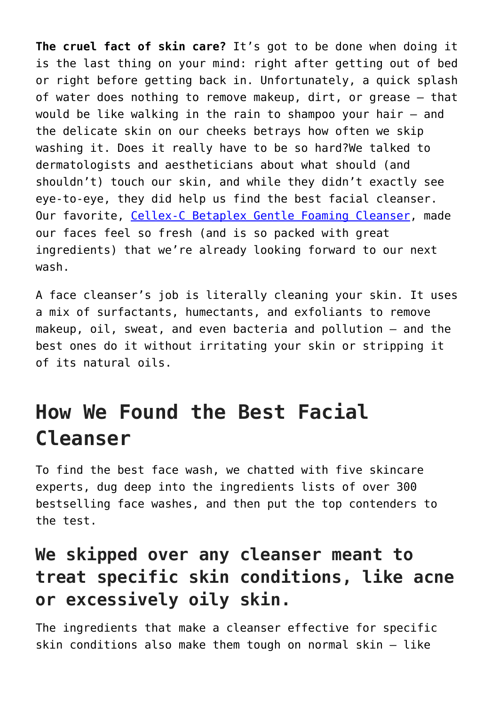**The cruel fact of skin care?** It's got to be done when doing it is the last thing on your mind: right after getting out of bed or right before getting back in. Unfortunately, a quick splash of water does nothing to remove makeup, dirt, or grease — that would be like walking in the rain to shampoo your hair — and the delicate skin on our cheeks betrays how often we skip washing it. Does it really have to be so hard?We talked to dermatologists and aestheticians about what should (and shouldn't) touch our skin, and while they didn't exactly see eye-to-eye, they did help us find the best facial cleanser. Our favorite, [Cellex-C Betaplex Gentle Foaming Cleanser,](http://www.reviews.com/go/r6046/?tid=N2EzMjRjYmEtZTFkZC00NWQ1LWJlNzUtMTFiYjU5NWZlZjE1) made our faces feel so fresh (and is so packed with great ingredients) that we're already looking forward to our next wash.

A face cleanser's job is literally cleaning your skin. It uses a mix of surfactants, humectants, and exfoliants to remove makeup, oil, sweat, and even bacteria and pollution — and the best ones do it without irritating your skin or stripping it of its natural oils.

# **How We Found the Best Facial Cleanser**

To find the best face wash, we chatted with five skincare experts, dug deep into the ingredients lists of over 300 bestselling face washes, and then put the top contenders to the test.

### **We skipped over any cleanser meant to treat specific skin conditions, like acne or excessively oily skin.**

The ingredients that make a cleanser effective for specific skin conditions also make them tough on normal skin — like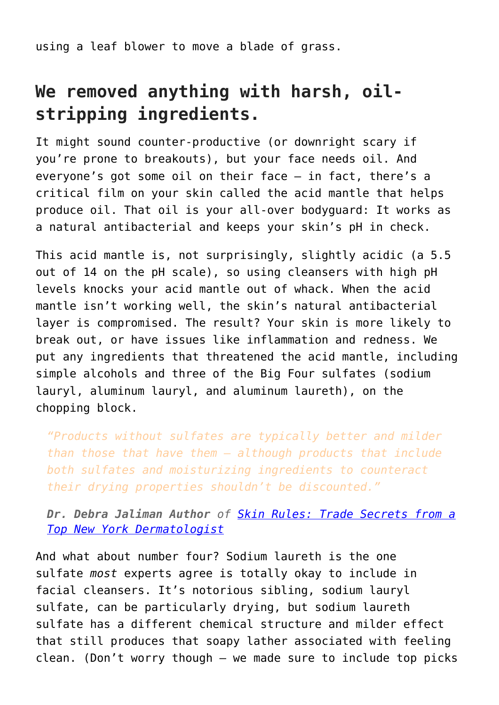using a leaf blower to move a blade of grass.

#### **We removed anything with harsh, oilstripping ingredients.**

It might sound counter-productive (or downright scary if you're prone to breakouts), but your face needs oil. And everyone's got some oil on their face — in fact, there's a critical film on your skin called the acid mantle that helps produce oil. That oil is your all-over bodyguard: It works as a natural antibacterial and keeps your skin's pH in check.

This acid mantle is, not surprisingly, slightly acidic (a 5.5 out of 14 on the pH scale), so using cleansers with high pH levels knocks your acid mantle out of whack. When the acid mantle isn't working well, the skin's natural antibacterial layer is compromised. The result? Your skin is more likely to break out, or have issues like inflammation and redness. We put any ingredients that threatened the acid mantle, including simple alcohols and three of the Big Four sulfates (sodium lauryl, aluminum lauryl, and aluminum laureth), on the chopping block.

*"Products without sulfates are typically better and milder than those that have them — although products that include both sulfates and moisturizing ingredients to counteract their drying properties shouldn't be discounted."*

*Dr. Debra Jaliman Author of [Skin Rules: Trade Secrets from a](http://www.amazon.com/Skin-Rules-Trade-Secrets-Dermatologist/dp/1250025109) [Top New York Dermatologist](http://www.amazon.com/Skin-Rules-Trade-Secrets-Dermatologist/dp/1250025109)*

And what about number four? Sodium laureth is the one sulfate *most* experts agree is totally okay to include in facial cleansers. It's notorious sibling, sodium lauryl sulfate, can be particularly drying, but sodium laureth sulfate has a different chemical structure and milder effect that still produces that soapy lather associated with feeling clean. (Don't worry though — we made sure to include top picks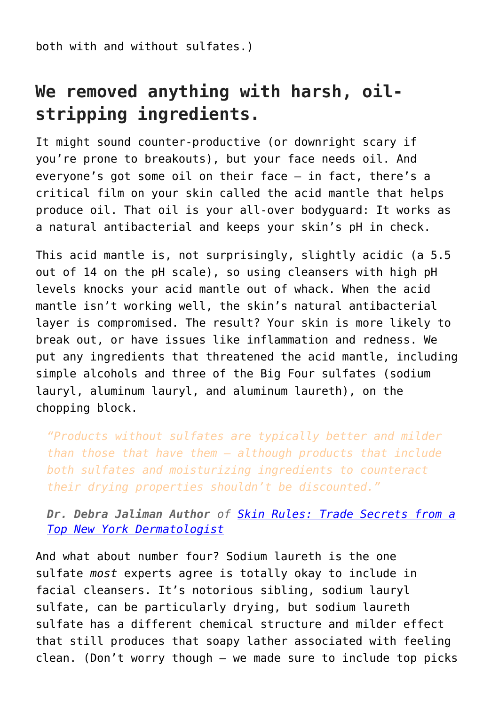both with and without sulfates.)

### **We removed anything with harsh, oilstripping ingredients.**

It might sound counter-productive (or downright scary if you're prone to breakouts), but your face needs oil. And everyone's got some oil on their face — in fact, there's a critical film on your skin called the acid mantle that helps produce oil. That oil is your all-over bodyguard: It works as a natural antibacterial and keeps your skin's pH in check.

This acid mantle is, not surprisingly, slightly acidic (a 5.5 out of 14 on the pH scale), so using cleansers with high pH levels knocks your acid mantle out of whack. When the acid mantle isn't working well, the skin's natural antibacterial layer is compromised. The result? Your skin is more likely to break out, or have issues like inflammation and redness. We put any ingredients that threatened the acid mantle, including simple alcohols and three of the Big Four sulfates (sodium lauryl, aluminum lauryl, and aluminum laureth), on the chopping block.

*"Products without sulfates are typically better and milder than those that have them — although products that include both sulfates and moisturizing ingredients to counteract their drying properties shouldn't be discounted."*

*Dr. Debra Jaliman Author of [Skin Rules: Trade Secrets from a](http://www.amazon.com/Skin-Rules-Trade-Secrets-Dermatologist/dp/1250025109) [Top New York Dermatologist](http://www.amazon.com/Skin-Rules-Trade-Secrets-Dermatologist/dp/1250025109)*

And what about number four? Sodium laureth is the one sulfate *most* experts agree is totally okay to include in facial cleansers. It's notorious sibling, sodium lauryl sulfate, can be particularly drying, but sodium laureth sulfate has a different chemical structure and milder effect that still produces that soapy lather associated with feeling clean. (Don't worry though — we made sure to include top picks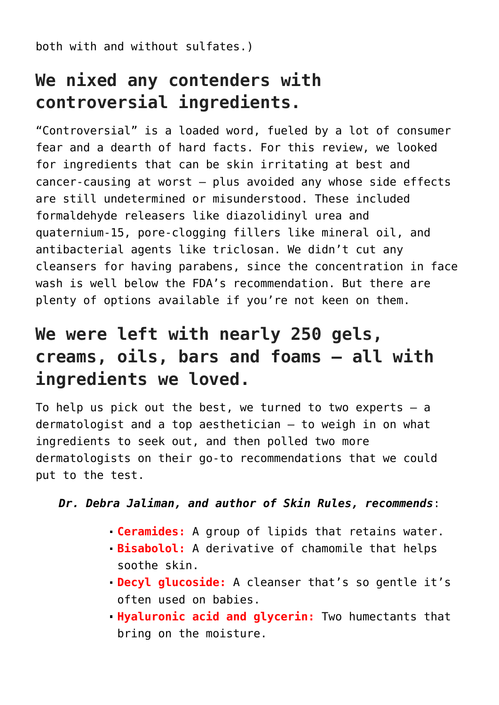both with and without sulfates.)

#### **We nixed any contenders with controversial ingredients.**

"Controversial" is a loaded word, fueled by a lot of consumer fear and a dearth of hard facts. For this review, we looked for ingredients that can be skin irritating at best and cancer-causing at worst — plus avoided any whose side effects are still undetermined or misunderstood. These included formaldehyde releasers like diazolidinyl urea and quaternium-15, pore-clogging fillers like mineral oil, and antibacterial agents like triclosan. We didn't cut any cleansers for having parabens, since the concentration in face wash is well below the FDA's recommendation. But there are plenty of options available if you're not keen on them.

#### **We were left with nearly 250 gels, creams, oils, bars and foams — all with ingredients we loved.**

To help us pick out the best, we turned to two experts  $-$  a dermatologist and a top aesthetician — to weigh in on what ingredients to seek out, and then polled two more dermatologists on their go-to recommendations that we could put to the test.

#### *Dr. Debra Jaliman, and author of Skin Rules, recommends*:

- **Ceramides:** A group of lipids that retains water.
- **Bisabolol:** A derivative of chamomile that helps soothe skin.
- **Decyl glucoside:** A cleanser that's so gentle it's often used on babies.
- **Hyaluronic acid and glycerin:** Two humectants that bring on the moisture.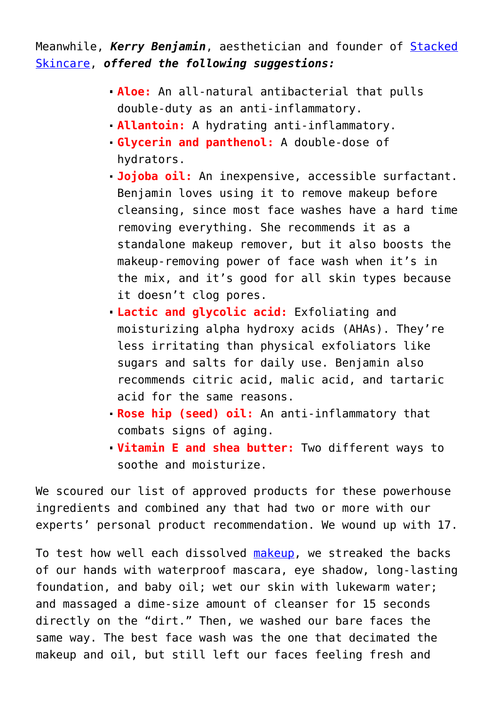Meanwhile, *Kerry Benjamin*, aesthetician and founder of [Stacked](http://stackedskincare.com/) [Skincare,](http://stackedskincare.com/) *offered the following suggestions:*

- **Aloe:** An all-natural antibacterial that pulls double-duty as an anti-inflammatory.
- **Allantoin:** A hydrating anti-inflammatory.
- **Glycerin and panthenol:** A double-dose of hydrators.
- **Jojoba oil:** An inexpensive, accessible surfactant. Benjamin loves using it to remove makeup before cleansing, since most face washes have a hard time removing everything. She recommends it as a standalone makeup remover, but it also boosts the makeup-removing power of face wash when it's in the mix, and it's good for all skin types because it doesn't clog pores.
- **Lactic and glycolic acid:** Exfoliating and moisturizing alpha hydroxy acids (AHAs). They're less irritating than physical exfoliators like sugars and salts for daily use. Benjamin also recommends citric acid, malic acid, and tartaric acid for the same reasons.
- **Rose hip (seed) oil:** An anti-inflammatory that combats signs of aging.
- **Vitamin E and shea butter:** Two different ways to soothe and moisturize.

We scoured our list of approved products for these powerhouse ingredients and combined any that had two or more with our experts' personal product recommendation. We wound up with 17.

To test how well each dissolved [makeup](https://www.hairnmakeup.info/makeup/), we streaked the backs of our hands with waterproof mascara, eye shadow, long-lasting foundation, and baby oil; wet our skin with lukewarm water; and massaged a dime-size amount of cleanser for 15 seconds directly on the "dirt." Then, we washed our bare faces the same way. The best face wash was the one that decimated the makeup and oil, but still left our faces feeling fresh and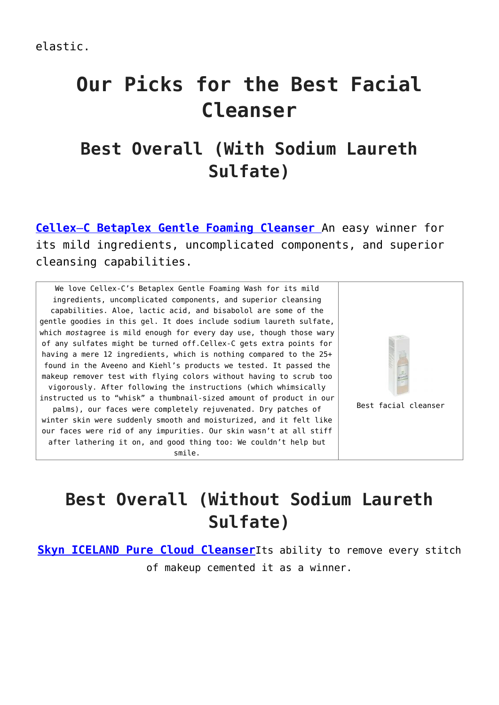# **Our Picks for the Best Facial Cleanser**

### **Best Overall (With Sodium Laureth Sulfate)**

**[Cellex](http://www.reviews.com/go/r6065/?tid=ZGE2N2JlM2EtZjYyMS00ZGIyLWEwOTctNjFmYTViMGExYjhk)**[–](http://www.reviews.com/go/r6065/?tid=ZGE2N2JlM2EtZjYyMS00ZGIyLWEwOTctNjFmYTViMGExYjhk)**[C](http://www.reviews.com/go/r6065/?tid=ZGE2N2JlM2EtZjYyMS00ZGIyLWEwOTctNjFmYTViMGExYjhk) [Betaplex](http://www.reviews.com/go/r6065/?tid=ZGE2N2JlM2EtZjYyMS00ZGIyLWEwOTctNjFmYTViMGExYjhk) [Gentle](http://www.reviews.com/go/r6065/?tid=ZGE2N2JlM2EtZjYyMS00ZGIyLWEwOTctNjFmYTViMGExYjhk) [Foaming Cleanser](http://www.reviews.com/go/r6065/?tid=ZGE2N2JlM2EtZjYyMS00ZGIyLWEwOTctNjFmYTViMGExYjhk)** An easy winner for its mild ingredients, uncomplicated components, and superior cleansing capabilities.

We love Cellex-C's Betaplex Gentle Foaming Wash for its mild ingredients, uncomplicated components, and superior cleansing capabilities. Aloe, lactic acid, and bisabolol are some of the gentle goodies in this gel. It does include sodium laureth sulfate, which *most*agree is mild enough for every day use, though those wary of any sulfates might be turned off.Cellex-C gets extra points for having a mere 12 ingredients, which is nothing compared to the 25+ found in the Aveeno and Kiehl's products we tested. It passed the makeup remover test with flying colors without having to scrub too vigorously. After following the instructions (which whimsically instructed us to "whisk" a thumbnail-sized amount of product in our palms), our faces were completely rejuvenated. Dry patches of winter skin were suddenly smooth and moisturized, and it felt like our faces were rid of any impurities. Our skin wasn't at all stiff after lathering it on, and good thing too: We couldn't help but smile.



### **Best Overall (Without Sodium Laureth Sulfate)**

**[Skyn ICELAND Pure Cloud Cleanser](http://www.reviews.com/go/r9596/?tid=MjUyOGE2ZWEtMzZhNC00YjdmLTlkNzAtZDg4MTg3OGRlMjU0)**Its ability to remove every stitch of makeup cemented it as a winner.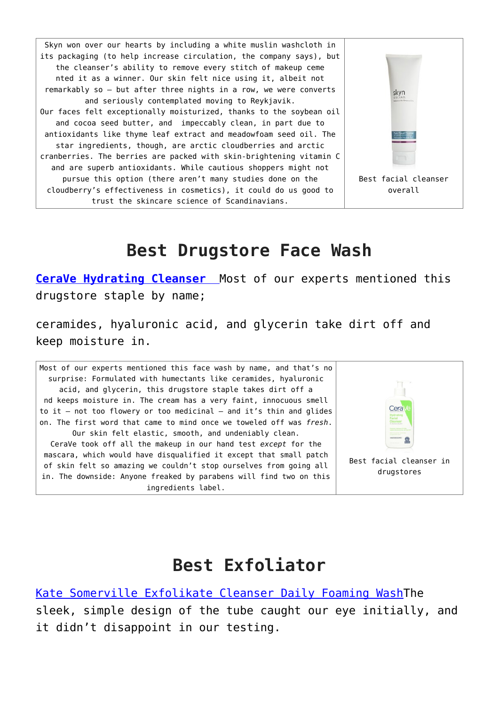Skyn won over our hearts by including a white muslin washcloth in its packaging (to help increase circulation, the company says), but the cleanser's ability to remove every stitch of makeup ceme nted it as a winner. Our skin felt nice using it, albeit not remarkably so — but after three nights in a row, we were converts skyn and seriously contemplated moving to Reykjavik. Our faces felt exceptionally moisturized, thanks to the soybean oil and cocoa seed butter, and impeccably clean, in part due to antioxidants like thyme leaf extract and meadowfoam seed oil. The star ingredients, though, are arctic cloudberries and arctic cranberries. The berries are packed with skin-brightening vitamin C and are superb antioxidants. While cautious shoppers might not pursue this option (there aren't many studies done on the Best facial cleanser cloudberry's effectiveness in cosmetics), it could do us good to overall trust the skincare science of Scandinavians.

#### **Best Drugstore Face Wash**

**[CeraVe](http://www.reviews.com/go/r6068/?tid=YjhhNDg2NDQtNTlkYS00ZWIzLWE2YTItZDY1Y2JhY2FhYmM4) [Hydrating](http://www.reviews.com/go/r6068/?tid=YjhhNDg2NDQtNTlkYS00ZWIzLWE2YTItZDY1Y2JhY2FhYmM4) [Cleanser](http://www.reviews.com/go/r6068/?tid=YjhhNDg2NDQtNTlkYS00ZWIzLWE2YTItZDY1Y2JhY2FhYmM4)** Most of our experts mentioned this drugstore staple by name;

ceramides, hyaluronic acid, and glycerin take dirt off and keep moisture in.

Most of our experts mentioned this face wash by name, and that's no surprise: Formulated with humectants like ceramides, hyaluronic acid, and glycerin, this drugstore staple takes dirt off a nd keeps moisture in. The cream has a very faint, innocuous smell to it — not too flowery or too medicinal — and it's thin and glides on. The first word that came to mind once we toweled off was *fresh*. Our skin felt elastic, smooth, and undeniably clean. CeraVe took off all the makeup in our hand test *except* for the mascara, which would have disqualified it except that small patch of skin felt so amazing we couldn't stop ourselves from going all in. The downside: Anyone freaked by parabens will find two on this ingredients label.



#### **Best Exfoliator**

[Kate Somerville Exfolikate Cleanser Daily Foaming Wash](http://www.reviews.com/go/r9563/?tid=YTg5ODU1NDgtNjk1Yi00MzhhLWExOTMtNTQwNmFjYjI0MmU4)The sleek, simple design of the tube caught our eye initially, and it didn't disappoint in our testing.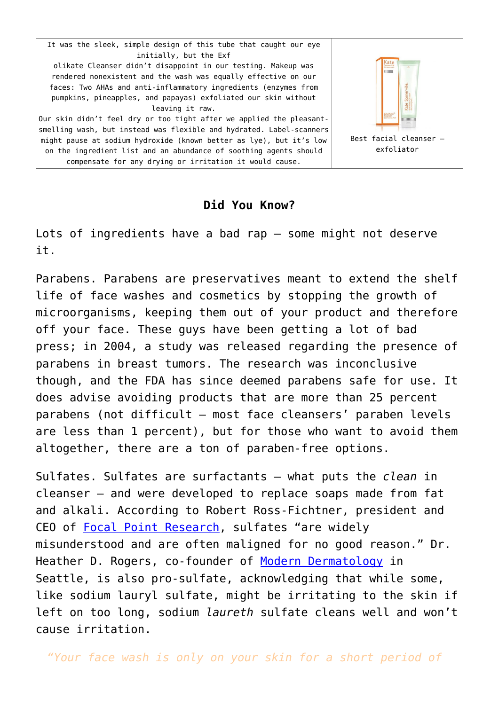It was the sleek, simple design of this tube that caught our eye initially, but the Exf olikate Cleanser didn't disappoint in our testing. Makeup was rendered nonexistent and the wash was equally effective on our faces: Two AHAs and anti-inflammatory ingredients (enzymes from pumpkins, pineapples, and papayas) exfoliated our skin without leaving it raw. Our skin didn't feel dry or too tight after we applied the pleasantsmelling wash, but instead was flexible and hydrated. Label-scanners

might pause at sodium hydroxide (known better as lye), but it's low on the ingredient list and an abundance of soothing agents should compensate for any drying or irritation it would cause.



#### **Did You Know?**

Lots of ingredients have a bad rap — some might not deserve it.

Parabens. Parabens are preservatives meant to extend the shelf life of face washes and cosmetics by stopping the growth of microorganisms, keeping them out of your product and therefore off your face. These guys have been getting a lot of bad press; in 2004, a study was released regarding the presence of parabens in breast tumors. The research was inconclusive though, and the FDA has since deemed parabens safe for use. It does advise avoiding products that are more than 25 percent parabens (not difficult — most face cleansers' paraben levels are less than 1 percent), but for those who want to avoid them altogether, there are a ton of paraben-free options.

Sulfates. Sulfates are surfactants — what puts the *clean* in cleanser — and were developed to replace soaps made from fat and alkali. According to Robert Ross-Fichtner, president and CEO of [Focal Point Research,](http://www.focalpointresearch.net/) sulfates "are widely misunderstood and are often maligned for no good reason." Dr. Heather D. Rogers, co-founder of [Modern Dermatology](http://mdinseattle.com/#welcome) in Seattle, is also pro-sulfate, acknowledging that while some, like sodium lauryl sulfate, might be irritating to the skin if left on too long, sodium *laureth* sulfate cleans well and won't cause irritation.

*"Your face wash is only on your skin for a short period of*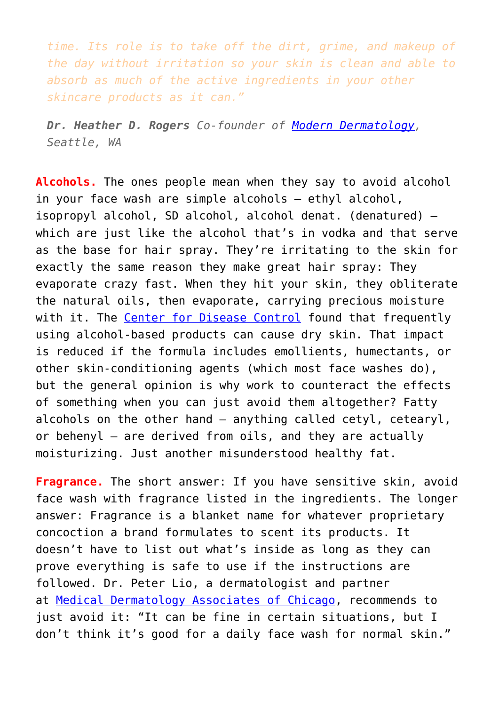*time. Its role is to take off the dirt, grime, and makeup of the day without irritation so your skin is clean and able to absorb as much of the active ingredients in your other skincare products as it can."*

*Dr. Heather D. Rogers Co-founder of [Modern Dermatology,](http://mdinseattle.com/#welcome) Seattle, WA*

**Alcohols.** The ones people mean when they say to avoid alcohol in your face wash are simple alcohols — ethyl alcohol, isopropyl alcohol, SD alcohol, alcohol denat. (denatured) which are just like the alcohol that's in vodka and that serve as the base for hair spray. They're irritating to the skin for exactly the same reason they make great hair spray: They evaporate crazy fast. When they hit your skin, they obliterate the natural oils, then evaporate, carrying precious moisture with it. The [Center for Disease Control](http://www.cdc.gov/mmwr/pdf/rr/rr5116.pdf) found that frequently using alcohol-based products can cause dry skin. That impact is reduced if the formula includes emollients, humectants, or other skin-conditioning agents (which most face washes do), but the general opinion is why work to counteract the effects of something when you can just avoid them altogether? Fatty alcohols on the other hand — anything called cetyl, cetearyl, or behenyl — are derived from oils, and they are actually moisturizing. Just another misunderstood healthy fat.

**Fragrance.** The short answer: If you have sensitive skin, avoid face wash with fragrance listed in the ingredients. The longer answer: Fragrance is a blanket name for whatever proprietary concoction a brand formulates to scent its products. It doesn't have to list out what's inside as long as they can prove everything is safe to use if the instructions are followed. Dr. Peter Lio, a dermatologist and partner at [Medical Dermatology Associates of Chicago](http://www.dermchicago.com/), recommends to just avoid it: "It can be fine in certain situations, but I don't think it's good for a daily face wash for normal skin."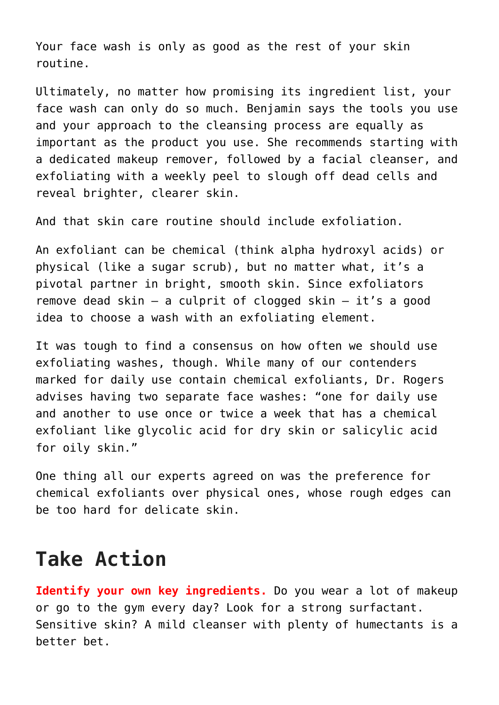Your face wash is only as good as the rest of your skin routine.

Ultimately, no matter how promising its ingredient list, your face wash can only do so much. Benjamin says the tools you use and your approach to the cleansing process are equally as important as the product you use. She recommends starting with a dedicated makeup remover, followed by a facial cleanser, and exfoliating with a weekly peel to slough off dead cells and reveal brighter, clearer skin.

And that skin care routine should include exfoliation.

An exfoliant can be chemical (think alpha hydroxyl acids) or physical (like a sugar scrub), but no matter what, it's a pivotal partner in bright, smooth skin. Since exfoliators remove dead skin — a culprit of clogged skin — it's a good idea to choose a wash with an exfoliating element.

It was tough to find a consensus on how often we should use exfoliating washes, though. While many of our contenders marked for daily use contain chemical exfoliants, Dr. Rogers advises having two separate face washes: "one for daily use and another to use once or twice a week that has a chemical exfoliant like glycolic acid for dry skin or salicylic acid for oily skin."

One thing all our experts agreed on was the preference for chemical exfoliants over physical ones, whose rough edges can be too hard for delicate skin.

## **Take Action**

**Identify your own key ingredients.** Do you wear a lot of makeup or go to the gym every day? Look for a strong surfactant. Sensitive skin? A mild cleanser with plenty of humectants is a better bet.